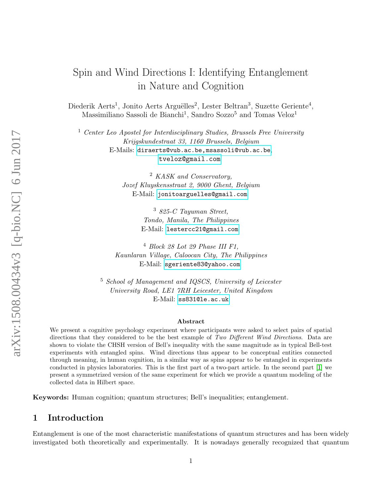# Spin and Wind Directions I: Identifying Entanglement in Nature and Cognition

Diederik Aerts<sup>1</sup>, Jonito Aerts Arguëlles<sup>2</sup>, Lester Beltran<sup>3</sup>, Suzette Geriente<sup>4</sup>, Massimiliano Sassoli de Bianchi<sup>1</sup>, Sandro Sozzo<sup>5</sup> and Tomas Veloz<sup>1</sup>

 $1$  Center Leo Apostel for Interdisciplinary Studies, Brussels Free University Krijgskundestraat 33, 1160 Brussels, Belgium E-Mails: <diraerts@vub.ac.be,msassoli@vub.ac.be>, <tveloz@gmail.com>

> <sup>2</sup> KASK and Conservatory, Jozef Kluyskensstraat 2, 9000 Ghent, Belgium E-Mail: <jonitoarguelles@gmail.com>

> > <sup>3</sup> 825-C Tayuman Street, Tondo, Manila, The Philippines E-Mail: <lestercc21@gmail.com>

 $4$  Block 28 Lot 29 Phase III F1, Kaunlaran Village, Caloocan City, The Philippines E-Mail: <sgeriente83@yahoo.com>

<sup>5</sup> School of Management and IQSCS, University of Leicester University Road, LE1 7RH Leicester, United Kingdom E-Mail: <ss831@le.ac.uk>

#### Abstract

We present a cognitive psychology experiment where participants were asked to select pairs of spatial directions that they considered to be the best example of Two Different Wind Directions. Data are shown to violate the CHSH version of Bell's inequality with the same magnitude as in typical Bell-test experiments with entangled spins. Wind directions thus appear to be conceptual entities connected through meaning, in human cognition, in a similar way as spins appear to be entangled in experiments conducted in physics laboratories. This is the first part of a two-part article. In the second part [\[1\]](#page-9-0) we present a symmetrized version of the same experiment for which we provide a quantum modeling of the collected data in Hilbert space.

Keywords: Human cognition; quantum structures; Bell's inequalities; entanglement.

## 1 Introduction

Entanglement is one of the most characteristic manifestations of quantum structures and has been widely investigated both theoretically and experimentally. It is nowadays generally recognized that quantum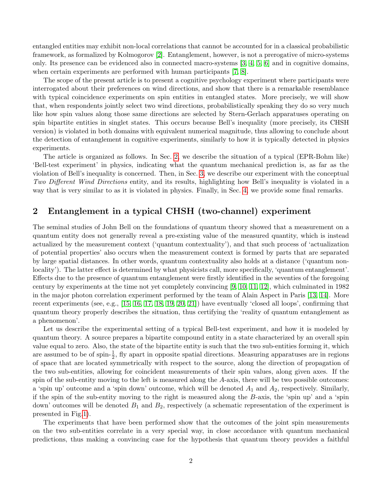entangled entities may exhibit non-local correlations that cannot be accounted for in a classical probabilistic framework, as formalized by Kolmogorov [\[2\]](#page-9-1). Entanglement, however, is not a prerogative of micro-systems only. Its presence can be evidenced also in connected macro-systems [\[3,](#page-9-2) [4,](#page-9-3) [5,](#page-9-4) [6\]](#page-9-5) and in cognitive domains, when certain experiments are performed with human participants [\[7,](#page-9-6) [8\]](#page-9-7).

The scope of the present article is to present a cognitive psychology experiment where participants were interrogated about their preferences on wind directions, and show that there is a remarkable resemblance with typical coincidence experiments on spin entities in entangled states. More precisely, we will show that, when respondents jointly select two wind directions, probabilistically speaking they do so very much like how spin values along those same directions are selected by Stern-Gerlach apparatuses operating on spin bipartite entities in singlet states. This occurs because Bell's inequality (more precisely, its CHSH version) is violated in both domains with equivalent numerical magnitude, thus allowing to conclude about the detection of entanglement in cognitive experiments, similarly to how it is typically detected in physics experiments.

The article is organized as follows. In Sec. [2,](#page-1-0) we describe the situation of a typical (EPR-Bohm like) 'Bell-test experiment' in physics, indicating what the quantum mechanical prediction is, as far as the violation of Bell's inequality is concerned. Then, in Sec. [3,](#page-4-0) we describe our experiment with the conceptual Two Different Wind Directions entity, and its results, highlighting how Bell's inequality is violated in a way that is very similar to as it is violated in physics. Finally, in Sec. [4,](#page-8-0) we provide some final remarks.

#### <span id="page-1-0"></span>2 Entanglement in a typical CHSH (two-channel) experiment

The seminal studies of John Bell on the foundations of quantum theory showed that a measurement on a quantum entity does not generally reveal a pre-existing value of the measured quantity, which is instead actualized by the measurement context ('quantum contextuality'), and that such process of 'actualization of potential properties' also occurs when the measurement context is formed by parts that are separated by large spatial distances. In other words, quantum contextuality also holds at a distance ('quantum nonlocality'). The latter effect is determined by what physicists call, more specifically, 'quantum entanglement'. Effects due to the presence of quantum entanglement were firstly identified in the seventies of the foregoing century by experiments at the time not yet completely convincing [\[9,](#page-9-8) [10,](#page-9-9) [11,](#page-9-10) [12\]](#page-9-11), which culminated in 1982 in the major photon correlation experiment performed by the team of Alain Aspect in Paris [\[13,](#page-9-12) [14\]](#page-10-0). More recent experiments (see, e.g.,  $[15, 16, 17, 18, 19, 20, 21]$  $[15, 16, 17, 18, 19, 20, 21]$  $[15, 16, 17, 18, 19, 20, 21]$  $[15, 16, 17, 18, 19, 20, 21]$  $[15, 16, 17, 18, 19, 20, 21]$  $[15, 16, 17, 18, 19, 20, 21]$  $[15, 16, 17, 18, 19, 20, 21]$ ) have eventually 'closed all loops', confirming that quantum theory properly describes the situation, thus certifying the 'reality of quantum entanglement as a phenomenon'.

Let us describe the experimental setting of a typical Bell-test experiment, and how it is modeled by quantum theory. A source prepares a bipartite compound entity in a state characterized by an overall spin value equal to zero. Also, the state of the bipartite entity is such that the two sub-entities forming it, which are assumed to be of spin- $\frac{1}{2}$ , fly apart in opposite spatial directions. Measuring apparatuses are in regions of space that are located symmetrically with respect to the source, along the direction of propagation of the two sub-entities, allowing for coincident measurements of their spin values, along given axes. If the spin of the sub-entity moving to the left is measured along the A-axis, there will be two possible outcomes: a 'spin up' outcome and a 'spin down' outcome, which will be denoted  $A_1$  and  $A_2$ , respectively. Similarly, if the spin of the sub-entity moving to the right is measured along the B-axis, the 'spin up' and a 'spin down' outcomes will be denoted  $B_1$  and  $B_2$ , respectively (a schematic representation of the experiment is presented in Fig[.1\)](#page-2-0).

The experiments that have been performed show that the outcomes of the joint spin measurements on the two sub-entities correlate in a very special way, in close accordance with quantum mechanical predictions, thus making a convincing case for the hypothesis that quantum theory provides a faithful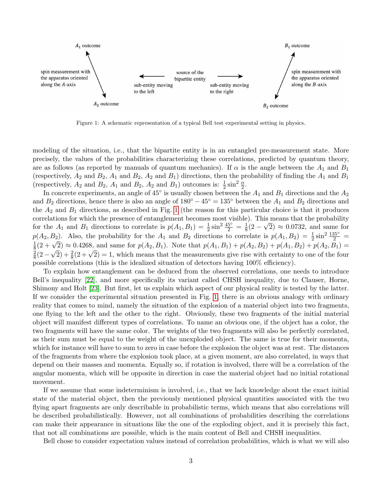

<span id="page-2-0"></span>Figure 1: A schematic representation of a typical Bell test experimental setting in physics.

modeling of the situation, i.e., that the bipartite entity is in an entangled pre-measurement state. More precisely, the values of the probabilities characterizing these correlations, predicted by quantum theory, are as follows (as reported by manuals of quantum mechanics). If  $\alpha$  is the angle between the  $A_1$  and  $B_1$ (respectively,  $A_2$  and  $B_2$ ,  $A_1$  and  $B_2$ ,  $A_2$  and  $B_1$ ) directions, then the probability of finding the  $A_1$  and  $B_1$ (respectively,  $A_2$  and  $B_2$ ,  $A_1$  and  $B_2$ ,  $A_2$  and  $B_1$ ) outcomes is:  $\frac{1}{2} \sin^2 \frac{\alpha}{2}$ .

In concrete experiments, an angle of  $45^{\circ}$  is usually chosen between the  $A_1$  and  $B_1$  directions and the  $A_2$ and  $B_2$  directions, hence there is also an angle of  $180° - 45° = 135°$  between the  $A_1$  and  $B_2$  directions and the  $A_2$  and  $B_1$  directions, as described in Fig. [1](#page-2-0) (the reason for this particular choice is that it produces correlations for which the presence of entanglement becomes most visible). This means that the probability for the  $A_1$  and  $B_1$  directions to correlate is  $p(A_1, B_1) = \frac{1}{2} \sin^2 \frac{45^{\circ}}{2} = \frac{1}{8}$  $\frac{1}{8}(2-\sqrt{2}) \approx 0.0732$ , and same for  $p(A_2, B_2)$ . Also, the probability for the  $A_1$  and  $B_2$  directions to correlate is  $p(A_1, B_2) = \frac{1}{2} \sin^2 \frac{135°}{2}$ 1  $\frac{1}{8}(2+\sqrt{2}) \approx 0.4268$ , and same for  $p(A_2, B_1)$ . Note that  $p(A_1, B_1) + p(A_2, B_2) + p(A_1, B_2) + p(A_2, B_1) =$  $\overline{2}$  $\frac{2}{8}(2+\sqrt{2}) \approx 0.4208$ , and same for  $p(A_2, D_1)$ . Note that  $p(A_1, D_1) + p(A_2, D_2) + p(A_1, D_2) + p(A_2, D_1) -$ <br> $\frac{2}{8}(2-\sqrt{2}) + \frac{2}{8}(2+\sqrt{2}) = 1$ , which means that the measurements give rise with certainty to one of the four possible correlations (this is the idealized situation of detectors having 100% efficiency).

To explain how entanglement can be deduced from the observed correlations, one needs to introduce Bell's inequality [\[22\]](#page-10-8), and more specifically its variant called CHSH inequality, due to Clauser, Horne, Shimony and Holt [\[23\]](#page-10-9). But first, let us explain which aspect of our physical reality is tested by the latter. If we consider the experimental situation presented in Fig. [1,](#page-2-0) there is an obvious analogy with ordinary reality that comes to mind, namely the situation of the explosion of a material object into two fragments, one flying to the left and the other to the right. Obviously, these two fragments of the initial material object will manifest different types of correlations. To name an obvious one, if the object has a color, the two fragments will have the same color. The weights of the two fragments will also be perfectly correlated, as their sum must be equal to the weight of the unexploded object. The same is true for their momenta, which for instance will have to sum to zero in case before the explosion the object was at rest. The distances of the fragments from where the explosion took place, at a given moment, are also correlated, in ways that depend on their masses and momenta. Equally so, if rotation is involved, there will be a correlation of the angular momenta, which will be opposite in direction in case the material object had no initial rotational movement.

If we assume that some indeterminism is involved, i.e., that we lack knowledge about the exact initial state of the material object, then the previously mentioned physical quantities associated with the two flying apart fragments are only describable in probabilistic terms, which means that also correlations will be described probabilistically. However, not all combinations of probabilities describing the correlations can make their appearance in situations like the one of the exploding object, and it is precisely this fact, that not all combinations are possible, which is the main content of Bell and CHSH inequalities.

Bell chose to consider expectation values instead of correlation probabilities, which is what we will also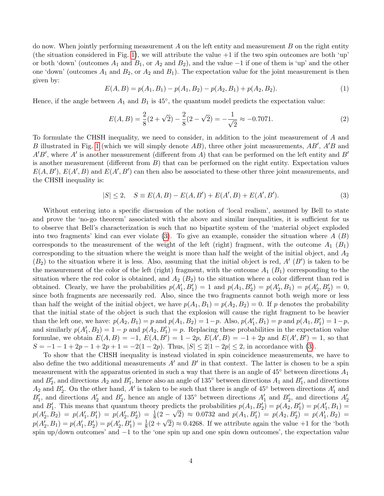do now. When jointly performing measurement  $A$  on the left entity and measurement  $B$  on the right entity (the situation considered in Fig. [1\)](#page-2-0), we will attribute the value  $+1$  if the two spin outcomes are both 'up' or both 'down' (outcomes  $A_1$  and  $B_1$ , or  $A_2$  and  $B_2$ ), and the value  $-1$  if one of them is 'up' and the other one 'down' (outcomes  $A_1$  and  $B_2$ , or  $A_2$  and  $B_1$ ). The expectation value for the joint measurement is then given by:

$$
E(A, B) = p(A_1, B_1) - p(A_1, B_2) - p(A_2, B_1) + p(A_2, B_2).
$$
\n(1)

Hence, if the angle between  $A_1$  and  $B_1$  is 45<sup>°</sup>, the quantum model predicts the expectation value:

$$
E(A, B) = \frac{2}{8}(2 + \sqrt{2}) - \frac{2}{8}(2 - \sqrt{2}) = -\frac{1}{\sqrt{2}} \approx -0.7071.
$$
 (2)

To formulate the CHSH inequality, we need to consider, in addition to the joint measurement of A and B illustrated in Fig. [1](#page-2-0) (which we will simply denote  $AB$ ), three other joint measurements,  $AB'$ ,  $A'B$  and  $A'B'$ , where A' is another measurement (different from A) that can be performed on the left entity and B' is another measurement (different from  $B$ ) that can be performed on the right entity. Expectation values  $E(A, B'), E(A', B)$  and  $E(A', B')$  can then also be associated to these other three joint measurements, and the CHSH inequality is:

<span id="page-3-0"></span>
$$
|S| \le 2, \quad S \equiv E(A, B) - E(A, B') + E(A', B) + E(A', B'). \tag{3}
$$

Without entering into a specific discussion of the notion of 'local realism', assumed by Bell to state and prove the 'no-go theorem' associated with the above and similar inequalities, it is sufficient for us to observe that Bell's characterization is such that no bipartite system of the 'material object exploded into two fragments' kind can ever violate  $(3)$ . To give an example, consider the situation where A  $(B)$ corresponds to the measurement of the weight of the left (right) fragment, with the outcome  $A_1$   $(B_1)$ corresponding to the situation where the weight is more than half the weight of the initial object, and  $A_2$  $(B_2)$  to the situation where it is less. Also, assuming that the initial object is red,  $A'(B')$  is taken to be the measurement of the color of the left (right) fragment, with the outcome  $A_1$  ( $B_1$ ) corresponding to the situation where the red color is obtained, and  $A_2$  ( $B_2$ ) to the situation where a color different than red is obtained. Clearly, we have the probabilities  $p(A'_1, B'_1) = 1$  and  $p(A_1, B'_2) = p(A'_2, B_1) = p(A'_2, B'_2) = 0$ , since both fragments are necessarily red. Also, since the two fragments cannot both weigh more or less than half the weight of the initial object, we have  $p(A_1, B_1) = p(A_2, B_2) = 0$ . If p denotes the probability that the initial state of the object is such that the explosion will cause the right fragment to be heavier than the left one, we have:  $p(A_2, B_1) = p$  and  $p(A_1, B_2) = 1 - p$ . Also,  $p(A'_1, B_1) = p$  and  $p(A_1, B'_1) = 1 - p$ , and similarly  $p(A'_1, B_2) = 1 - p$  and  $p(A_2, B'_1) = p$ . Replacing these probabilities in the expectation value formulae, we obtain  $E(A, B) = -1$ ,  $E(A, B') = 1 - 2p$ ,  $E(A', B) = -1 + 2p$  and  $E(A', B') = 1$ , so that  $S = -1 - 1 + 2p - 1 + 2p + 1 = -2(1 - 2p)$ . Thus,  $|S| \le 2|1 - 2p| \le 2$ , in accordance with [\(3\)](#page-3-0).

To show that the CHSH inequality is instead violated in spin coincidence measurements, we have to also define the two additional measurements  $A'$  and  $B'$  in that context. The latter is chosen to be a spin measurement with the apparatus oriented in such a way that there is an angle of  $45°$  between directions  $A_1$ and  $B'_2$ , and directions  $A_2$  and  $B'_1$ , hence also an angle of 135° between directions  $A_1$  and  $B'_1$ , and directions  $A_2$  and  $B'_2$ . On the other hand, A' is taken to be such that there is angle of 45° between directions  $A'_1$  and  $B'_1$ , and directions  $A'_2$  and  $B'_2$ , hence an angle of 135<sup>°</sup> between directions  $A'_1$  and  $B'_2$ , and directions  $A'_2$ and  $B'_1$ . This means that quantum theory predicts the probabilities  $p(A_1, B'_2) = p(A_2, B'_1) = p(A'_1, B_1) =$  $p(A'_2, B_2) = p(A'_1, B'_1) = p(A'_2, B'_2) = \frac{1}{8}(2 - \sqrt{2}) \approx 0.0732$  and  $p(A_1, B'_1) = p(A_2, B'_2) = p(A'_1, B_2)$  $p(A_2, B_2) - p(A_1, B_1) - p(A_2, B_2) - \frac{1}{8}(2 - \sqrt{2}) \approx 0.0732$  and  $p(A_1, B_1) - p(A_2, B_2) - p(A_1, B_2) - p(A_2, B_1) = p(A_1', B_2') = p(A_2', B_1') = \frac{1}{8}(2 + \sqrt{2}) \approx 0.4268$ . If we attribute again the value +1 for the 'both spin up/down outcomes' and −1 to the 'one spin up and one spin down outcomes', the expectation value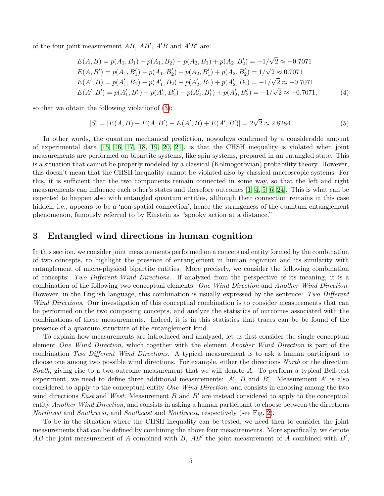of the four joint measurement  $AB$ ,  $AB'$ ,  $A'B$  and  $A'B'$  are:

$$
E(A, B) = p(A_1, B_1) - p(A_1, B_2) - p(A_2, B_1) + p(A_2, B_2') = -1/\sqrt{2} \approx -0.7071
$$
  
\n
$$
E(A, B') = p(A_1, B_1') - p(A_1, B_2') - p(A_2, B_1') + p(A_2, B_2') = 1/\sqrt{2} \approx 0.7071
$$
  
\n
$$
E(A', B) = p(A_1', B_1) - p(A_1', B_2) - p(A_2', B_1) + p(A_2', B_2') = -1/\sqrt{2} \approx -0.7071
$$
  
\n
$$
E(A', B') = p(A_1', B_1') - p(A_1', B_2') - p(A_2', B_1') + p(A_2', B_2') = -1/\sqrt{2} \approx -0.7071,
$$
 (4)

so that we obtain the following violationof [\(3\)](#page-3-0):

$$
|S| = |E(A, B) - E(A, B') + E(A', B) + E(A', B')| = 2\sqrt{2} \approx 2.8284.
$$
\n<sup>(5)</sup>

In other words, the quantum mechanical prediction, nowadays confirmed by a considerable amount of experimental data [\[15,](#page-10-1) [16,](#page-10-2) [17,](#page-10-3) [18,](#page-10-4) [19,](#page-10-5) [20,](#page-10-6) [21\]](#page-10-7), is that the CHSH inequality is violated when joint measurements are performed on bipartite systems, like spin systems, prepared in an entangled state. This is a situation that cannot be properly modeled by a classical (Kolmogorovian) probability theory. However, this doesn't mean that the CHSH inequality cannot be violated also by classical macroscopic systems. For this, it is sufficient that the two components remain connected in some way, so that the left and right measurements can influence each other's states and therefore outcomes [\[1,](#page-9-0) [4,](#page-9-3) [5,](#page-9-4) [6,](#page-9-5) [24\]](#page-10-10). This is what can be expected to happen also with entangled quantum entities, although their connection remains in this case hidden, i.e., appears to be a 'non-spatial connection', hence the strangeness of the quantum entanglement phenomenon, famously referred to by Einstein as "spooky action at a distance."

#### <span id="page-4-0"></span>3 Entangled wind directions in human cognition

In this section, we consider joint measurements performed on a conceptual entity formed by the combination of two concepts, to highlight the presence of entanglement in human cognition and its similarity with entanglement of micro-physical bipartite entities. More precisely, we consider the following combination of concepts: Two Different Wind Directions. If analyzed from the perspective of its meaning, it is a combination of the following two conceptual elements: One Wind Direction and Another Wind Direction. However, in the English language, this combination is usually expressed by the sentence: Two Different Wind Directions. Our investigation of this conceptual combination is to consider measurements that can be performed on the two composing concepts, and analyze the statistics of outcomes associated with the combinations of these measurements. Indeed, it is in this statistics that traces can be be found of the presence of a quantum structure of the entanglement kind.

To explain how measurements are introduced and analyzed, let us first consider the single conceptual element One Wind Direction, which together with the element Another Wind Direction is part of the combination Two Different Wind Directions. A typical measurement is to ask a human participant to choose one among two possible wind directions. For example, either the directions North or the direction South, giving rise to a two-outcome measurement that we will denote A. To perform a typical Bell-test experiment, we need to define three additional measurements:  $A'$ ,  $B$  and  $B'$ . Measurement  $A'$  is also considered to apply to the conceptual entity One Wind Direction, and consists in choosing among the two wind directions East and West. Measurement  $B$  and  $B'$  are instead considered to apply to the conceptual entity Another Wind Direction, and consists in asking a human participant to choose between the directions Northeast and Southwest, and Southeast and Northwest, respectively (see Fig. [2\)](#page-5-0).

To be in the situation where the CHSH inequality can be tested, we need then to consider the joint measurements that can be defined by combining the above four measurements. More specifically, we denote AB the joint measurement of A combined with B,  $AB'$  the joint measurement of A combined with B',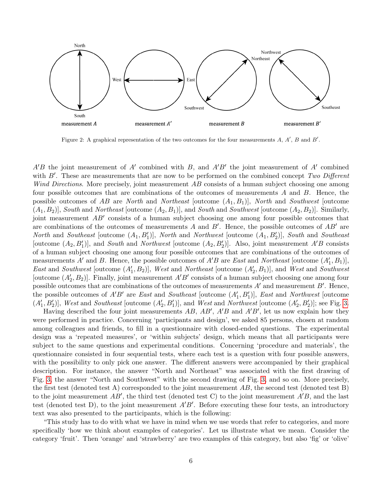

<span id="page-5-0"></span>Figure 2: A graphical representation of the two outcomes for the four measurements  $A, A', B$  and  $B'$ .

 $A'B$  the joint measurement of A' combined with B, and  $A'B'$  the joint measurement of A' combined with  $B'$ . These are measurements that are now to be performed on the combined concept Two Different Wind Directions. More precisely, joint measurement AB consists of a human subject choosing one among four possible outcomes that are combinations of the outcomes of measurements A and B. Hence, the possible outcomes of AB are North and Northeast [outcome  $(A_1, B_1)$ ], North and Southwest [outcome  $(A_1, B_2)$ , South and Northeast [outcome  $(A_2, B_1)$ ], and South and Southwest [outcome  $(A_2, B_2)$ ]. Similarly, joint measurement  $AB'$  consists of a human subject choosing one among four possible outcomes that are combinations of the outcomes of measurements A and  $B'$ . Hence, the possible outcomes of  $AB'$  are North and Southeast [outcome  $(A_1, B'_1)$ ], North and Northwest [outcome  $(A_1, B'_2)$ ], South and Southeast [outcome  $(A_2, B'_1)$ ], and South and Northwest [outcome  $(A_2, B'_2)$ ]. Also, joint measurement A'B consists of a human subject choosing one among four possible outcomes that are combinations of the outcomes of measurements A' and B. Hence, the possible outcomes of  $A'B$  are East and Northeast [outcome  $(A'_1, B_1)$ ], East and Southwest [outcome  $(A'_1, B_2)$ ], West and Northeast [outcome  $(A'_2, B_1)$ ], and West and Southwest [outcome  $(A'_2, B_2)$ ]. Finally, joint measurement  $A'B'$  consists of a human subject choosing one among four possible outcomes that are combinations of the outcomes of measurements  $A'$  and measurement  $B'$ . Hence, the possible outcomes of  $A'B'$  are East and Southeast [outcome  $(A'_1, B'_1)$ ], East and Northwest [outcome  $(A'_1, B'_2)$ , West and Southeast [outcome  $(A'_2, B'_1)$ ], and West and Northwest [outcome  $(A'_2, B'_2)$ ]; see Fig. [3.](#page-6-0)

Having described the four joint measurements  $AB$ ,  $AB'$ ,  $A'B$  and  $A'B'$ , let us now explain how they were performed in practice. Concerning 'participants and design', we asked 85 persons, chosen at random among colleagues and friends, to fill in a questionnaire with closed-ended questions. The experimental design was a 'repeated measures', or 'within subjects' design, which means that all participants were subject to the same questions and experimental conditions. Concerning 'procedure and materials', the questionnaire consisted in four sequential tests, where each test is a question with four possible answers, with the possibility to only pick one answer. The different answers were accompanied by their graphical description. For instance, the answer "North and Northeast" was associated with the first drawing of Fig. [3,](#page-6-0) the answer "North and Southwest" with the second drawing of Fig. [3,](#page-6-0) and so on. More precisely, the first test (denoted test A) corresponded to the joint measurement  $AB$ , the second test (denoted test B) to the joint measurement  $AB'$ , the third test (denoted test C) to the joint measurement  $A'B$ , and the last test (denoted test D), to the joint measurement  $A'B'$ . Before executing these four tests, an introductory text was also presented to the participants, which is the following:

"This study has to do with what we have in mind when we use words that refer to categories, and more specifically 'how we think about examples of categories'. Let us illustrate what we mean. Consider the category 'fruit'. Then 'orange' and 'strawberry' are two examples of this category, but also 'fig' or 'olive'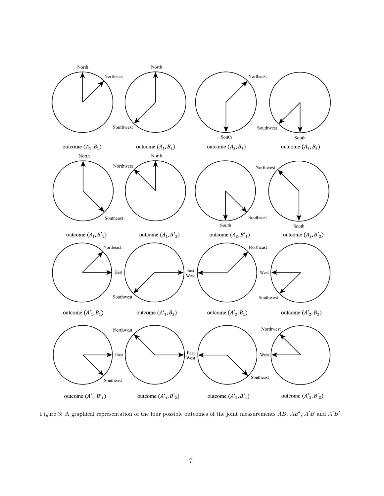

<span id="page-6-0"></span>Figure 3: A graphical representation of the four possible outcomes of the joint measurements  $AB$ ,  $AB'$ ,  $A'B$  and  $A'B'$ .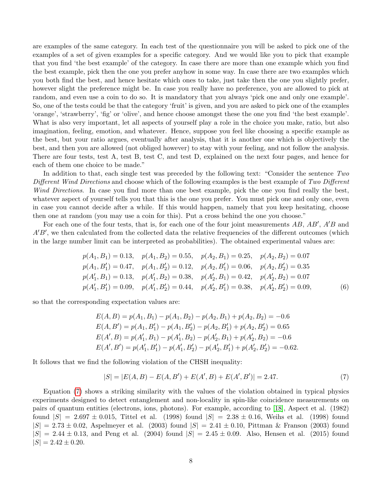are examples of the same category. In each test of the questionnaire you will be asked to pick one of the examples of a set of given examples for a specific category. And we would like you to pick that example that you find 'the best example' of the category. In case there are more than one example which you find the best example, pick then the one you prefer anyhow in some way. In case there are two examples which you both find the best, and hence hesitate which ones to take, just take then the one you slightly prefer, however slight the preference might be. In case you really have no preference, you are allowed to pick at random, and even use a coin to do so. It is mandatory that you always 'pick one and only one example'. So, one of the tests could be that the category 'fruit' is given, and you are asked to pick one of the examples 'orange', 'strawberry', 'fig' or 'olive', and hence choose amongst these the one you find 'the best example'. What is also very important, let all aspects of yourself play a role in the choice you make, ratio, but also imagination, feeling, emotion, and whatever. Hence, suppose you feel like choosing a specific example as the best, but your ratio argues, eventually after analysis, that it is another one which is objectively the best, and then you are allowed (not obliged however) to stay with your feeling, and not follow the analysis. There are four tests, test A, test B, test C, and test D, explained on the next four pages, and hence for each of them one choice to be made."

In addition to that, each single test was preceded by the following text: "Consider the sentence Two Different Wind Directions and choose which of the following examples is the best example of Two Different Wind Directions. In case you find more than one best example, pick the one you find really the best, whatever aspect of yourself tells you that this is the one you prefer. You must pick one and only one, even in case you cannot decide after a while. If this would happen, namely that you keep hesitating, choose then one at random (you may use a coin for this). Put a cross behind the one you choose."

For each one of the four tests, that is, for each one of the four joint measurements  $AB$ ,  $AB'$ ,  $A'B$  and  $A'B'$ , we then calculated from the collected data the relative frequencies of the different outcomes (which in the large number limit can be interpreted as probabilities). The obtained experimental values are:

$$
p(A_1, B_1) = 0.13, \quad p(A_1, B_2) = 0.55, \quad p(A_2, B_1) = 0.25, \quad p(A_2, B_2) = 0.07
$$
  
\n
$$
p(A_1, B_1') = 0.47, \quad p(A_1, B_2') = 0.12, \quad p(A_2, B_1') = 0.06, \quad p(A_2, B_2') = 0.35
$$
  
\n
$$
p(A_1', B_1) = 0.13, \quad p(A_1', B_2) = 0.38, \quad p(A_2', B_1) = 0.42, \quad p(A_2', B_2) = 0.07
$$
  
\n
$$
p(A_1', B_1') = 0.09, \quad p(A_1', B_2') = 0.44, \quad p(A_2', B_1') = 0.38, \quad p(A_2', B_2') = 0.09,
$$
\n(6)

so that the corresponding expectation values are:

<span id="page-7-0"></span>
$$
E(A, B) = p(A_1, B_1) - p(A_1, B_2) - p(A_2, B_1) + p(A_2, B_2) = -0.6
$$
  
\n
$$
E(A, B') = p(A_1, B'_1) - p(A_1, B'_2) - p(A_2, B'_1) + p(A_2, B'_2) = 0.65
$$
  
\n
$$
E(A', B) = p(A'_1, B_1) - p(A'_1, B_2) - p(A'_2, B_1) + p(A'_2, B_2) = -0.6
$$
  
\n
$$
E(A', B') = p(A'_1, B'_1) - p(A'_1, B'_2) - p(A'_2, B'_1) + p(A'_2, B'_2) = -0.62.
$$

It follows that we find the following violation of the CHSH inequality:

$$
|S| = |E(A, B) - E(A, B') + E(A', B) + E(A', B')| = 2.47.
$$
\n<sup>(7)</sup>

Equation [\(7\)](#page-7-0) shows a striking similarity with the values of the violation obtained in typical physics experiments designed to detect entanglement and non-locality in spin-like coincidence measurements on pairs of quantum entities (electrons, ions, photons). For example, according to [\[18\]](#page-10-4), Aspect et al. (1982) found  $|S| = 2.697 \pm 0.015$ , Tittel et al. (1998) found  $|S| = 2.38 \pm 0.16$ , Weihs et al. (1998) found  $|S| = 2.73 \pm 0.02$ , Aspelmeyer et al. (2003) found  $|S| = 2.41 \pm 0.10$ , Pittman & Franson (2003) found  $|S| = 2.44 \pm 0.13$ , and Peng et al. (2004) found  $|S| = 2.45 \pm 0.09$ . Also, Hensen et al. (2015) found  $|S| = 2.42 \pm 0.20.$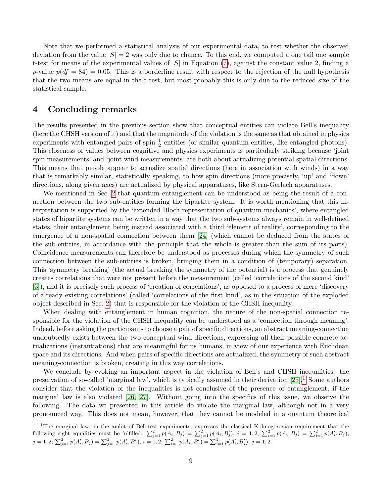Note that we performed a statistical analysis of our experimental data, to test whether the observed deviation from the value  $|S| = 2$  was only due to chance. To this end, we computed a one tail one sample t-test for means of the experimental values of  $|S|$  in Equation [\(7\)](#page-7-0), against the constant value 2, finding a p-value  $p(df = 84) = 0.05$ . This is a borderline result with respect to the rejection of the null hypothesis that the two means are equal in the t-test, but most probably this is only due to the reduced size of the statistical sample.

#### <span id="page-8-0"></span>4 Concluding remarks

The results presented in the previous section show that conceptual entities can violate Bell's inequality (here the CHSH version of it) and that the magnitude of the violation is the same as that obtained in physics experiments with entangled pairs of spin- $\frac{1}{2}$  entities (or similar quantum entities, like entangled photons). This closeness of values between cognitive and physics experiments is particularly striking because 'joint spin measurements' and 'joint wind measurements' are both about actualizing potential spatial directions. This means that people appear to actualize spatial directions (here in association with winds) in a way that is remarkably similar, statistically speaking, to how spin directions (more precisely, 'up' and 'down' directions, along given axes) are actualized by physical apparatuses, like Stern-Gerlach apparatuses.

We mentioned in Sec. [2](#page-1-0) that quantum entanglement can be understood as being the result of a connection between the two sub-entities forming the bipartite system. It is worth mentioning that this interpretation is supported by the 'extended Bloch representation of quantum mechanics', where entangled states of bipartite systems can be written in a way that the two sub-systems always remain in well-defined states, their entanglement being instead associated with a third 'element of reality', corresponding to the emergence of a non-spatial connection between them [\[24\]](#page-10-10) (which cannot be deduced from the states of the sub-entities, in accordance with the principle that the whole is greater than the sum of its parts). Coincidence measurements can therefore be understood as processes during which the symmetry of such connection between the sub-entities is broken, bringing them in a condition of (temporary) separation. This 'symmetry breaking' (the actual breaking the symmetry of the potential) is a process that genuinely creates correlations that were not present before the measurement (called 'correlations of the second kind' [\[3\]](#page-9-2)), and it is precisely such process of 'creation of correlations', as opposed to a process of mere 'discovery of already existing correlations' (called 'correlations of the first kind', as in the situation of the exploded object described in Sec. [2\)](#page-1-0) that is responsible for the violation of the CHSH inequality.

When dealing with entanglement in human cognition, the nature of the non-spatial connection responsible for the violation of the CHSH inequality can be understood as a 'connection through meaning'. Indeed, before asking the participants to choose a pair of specific directions, an abstract meaning-connection undoubtedly exists between the two conceptual wind directions, expressing all their possible concrete actualizations (instantiations) that are meaningful for us humans, in view of our experience with Euclidean space and its directions. And when pairs of specific directions are actualized, the symmetry of such abstract meaning-connection is broken, creating in this way correlations.

We conclude by evoking an important aspect in the violation of Bell's and CHSH inequalities: the preservation of so-called 'marginal law', which is typically assumed in their derivation [\[25\]](#page-10-11).[1](#page-8-1) Some authors consider that the violation of the inequalities is not conclusive of the presence of entanglement, if the marginal law is also violated [\[26,](#page-10-12) [27\]](#page-10-13). Without going into the specifics of this issue, we observe the following. The data we presented in this article do violate the marginal law, although not in a very pronounced way. This does not mean, however, that they cannot be modeled in a quantum theoretical

<span id="page-8-1"></span><sup>&</sup>lt;sup>1</sup>The marginal law, in the ambit of Bell-test experiments, expresses the classical Kolmogorovian requirement that the following eight equalities must be fulfilled:  $\sum_{j=1}^{2} p(A_i, B_j) = \sum_{j=1}^{2} p(A_i, B_j')$ ,  $i = 1, 2$ ;  $\sum_{i=1}^{2} p(A_i, B_j) = \sum_{i=1}^{2} p(A_i', B_j)$ ,  $j = 1, 2; \sum_{j=1}^{2} p(A'_{i}, B_{j}) = \sum_{j=1}^{2} p(A'_{i}, B'_{j}), i = 1, 2; \sum_{i=1}^{2} p(A_{i}, B'_{j}) = \sum_{i=1}^{2} p(A'_{i}, B'_{j}), j = 1, 2.$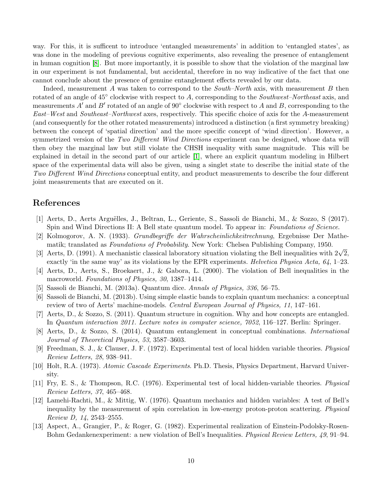way. For this, it is sufficent to introduce 'entangled measurements' in addition to 'entangled states', as was done in the modeling of previous cognitive experiments, also revealing the presence of entanglement in human cognition [\[8\]](#page-9-7). But more importantly, it is possible to show that the violation of the marginal law in our experiment is not fundamental, but accidental, therefore in no way indicative of the fact that one cannot conclude about the presence of genuine entanglement effects revealed by our data.

Indeed, measurement A was taken to correspond to the *South–North* axis, with measurement B then rotated of an angle of  $45^{\circ}$  clockwise with respect to A, corresponding to the Southwest–Northeast axis, and measurements A' and B' rotated of an angle of  $90^{\circ}$  clockwise with respect to A and B, corresponding to the East–West and Southeast–Northwest axes, respectively. This specific choice of axis for the A-measurement (and consequently for the other rotated measurements) introduced a distinction (a first symmetry breaking) between the concept of 'spatial direction' and the more specific concept of 'wind direction'. However, a symmetrized version of the Two Different Wind Directions experiment can be designed, whose data will then obey the marginal law but still violate the CHSH inequality with same magnitude. This will be explained in detail in the second part of our article [\[1\]](#page-9-0), where an explicit quantum modeling in Hilbert space of the experimental data will also be given, using a singlet state to describe the initial state of the Two Different Wind Directions conceptual entity, and product measurements to describe the four different joint measurements that are executed on it.

### References

- <span id="page-9-0"></span>[1] Aerts, D., Aerts Arguëlles, J., Beltran, L., Geriente, S., Sassoli de Bianchi, M., & Sozzo, S (2017). Spin and Wind Directions II: A Bell state quantum model. To appear in: Foundations of Science.
- <span id="page-9-1"></span>[2] Kolmogorov, A. N. (1933). Grundbegriffe der Wahrscheinlichkeitrechnung, Ergebnisse Der Mathematik; translated as Foundations of Probability. New York: Chelsea Publishing Company, 1950.
- <span id="page-9-2"></span>matik; translated as *Foundations of Fromoutity*. New York: Chelsea Publishing Company, 1950.<br>
[3] Aerts, D. (1991). A mechanistic classical laboratory situation violating the Bell inequalities with  $2\sqrt{2}$ , exactly 'in the same way' as its violations by the EPR experiments. Helvetica Physica Acta,  $64$ , 1–23.
- <span id="page-9-3"></span>[4] Aerts, D., Aerts, S., Broekaert, J., & Gabora, L. (2000). The violation of Bell inequalities in the macroworld. Foundations of Physics, 30, 1387–1414.
- <span id="page-9-5"></span><span id="page-9-4"></span>[5] Sassoli de Bianchi, M. (2013a). Quantum dice. Annals of Physics, 336, 56–75.
- [6] Sassoli de Bianchi, M. (2013b). Using simple elastic bands to explain quantum mechanics: a conceptual review of two of Aerts' machine-models. Central European Journal of Physics, 11, 147–161.
- <span id="page-9-6"></span>[7] Aerts, D., & Sozzo, S. (2011). Quantum structure in cognition. Why and how concepts are entangled. In Quantum interaction 2011. Lecture notes in computer science, 7052, 116–127. Berlin: Springer.
- <span id="page-9-7"></span>[8] Aerts, D., & Sozzo, S. (2014). Quantum entanglement in conceptual combinations. International Journal of Theoretical Physics, 53, 3587–3603.
- <span id="page-9-8"></span>[9] Freedman, S. J., & Clauser, J. F. (1972). Experimental test of local hidden variable theories. Physical Review Letters, 28, 938–941.
- <span id="page-9-9"></span>[10] Holt, R.A. (1973). Atomic Cascade Experiments. Ph.D. Thesis, Physics Department, Harvard University.
- <span id="page-9-10"></span>[11] Fry, E. S., & Thompson, R.C. (1976). Experimental test of local hidden-variable theories. Physical Review Letters, 37, 465–468.
- <span id="page-9-11"></span>[12] Lamehi-Rachti, M., & Mittig, W. (1976). Quantum mechanics and hidden variables: A test of Bell's inequality by the measurement of spin correlation in low-energy proton-proton scattering. Physical Review D, 14, 2543–2555.
- <span id="page-9-12"></span>[13] Aspect, A., Grangier, P., & Roger, G. (1982). Experimental realization of Einstein-Podolsky-Rosen-Bohm Gedankenexperiment: a new violation of Bell's Inequalities. Physical Review Letters, 49, 91–94.